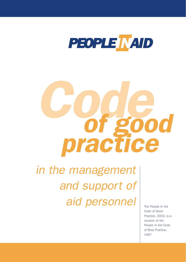

# *Code of good practice*

*in the management and support of aid personnel*

The People In Aid Code of Good Practice, 2003, is a revision of the People In Aid Code of Best Practice, 1997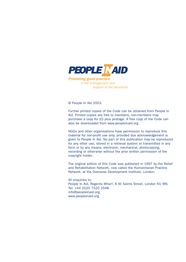

Promoting good practice in the management and support of aid personnel

© People In Aid 2003.

Further printed copies of the Code can be obtained from People In Aid. Printed copies are free to members; non-members may purchase a copy for £5 plus postage. A free copy of the Code can also be downloaded from www.peopleinaid.org

NGOs and other organisations have permission to reproduce this material for non-profit use only, provided due acknowledgement is given to People In Aid. No part of this publication may be reproduced for any other use, stored in a retrieval system or transmitted in any form or by any means, electronic, mechanical, photocopying, recording or otherwise without the prior written permission of the copyright holder.

The original edition of this Code was published in 1997 by the Relief and Rehabilitation Network, now called the Humanitarian Practice Network, at the Overseas Development Institute, London.

All enquiries to: People In Aid, Regents Wharf, 8 All Saints Street, London N1 9RL Tel: +44 (0)20 7520 2548 info@peopleinaid.org www.peopleinaid.org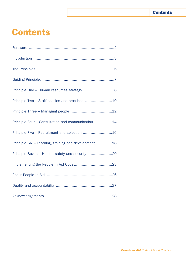### **Contents**

# **Contents**

| Principle One - Human resources strategy 8            |  |
|-------------------------------------------------------|--|
|                                                       |  |
|                                                       |  |
| Principle Four - Consultation and communication 14    |  |
| Principle Five - Recruitment and selection 16         |  |
| Principle Six - Learning, training and development 18 |  |
| Principle Seven - Health, safety and security 20      |  |
|                                                       |  |
|                                                       |  |
|                                                       |  |
|                                                       |  |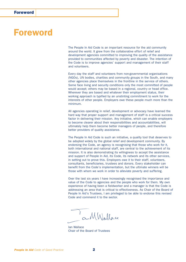### Foreword

The People In Aid Code is an important resource for the aid community around the world. It grew from the collaborative effort of relief and development agencies committed to improving the quality of the assistance provided to communities affected by poverty and disaster. The intention of the Code is to improve agencies' support and management of their staff and volunteers.

Every day the staff and volunteers from non-governmental organisations (NGOs), UN bodies, charities and community groups in the South, and many other agencies place themselves in the frontline in the service of others. Some face living and security conditions only the most committed of people would accept; others may be based in a regional, country or head office. Wherever they are based and whatever their employment status, their working approach is typified by an unstinting commitment to work for the interests of other people. Employers owe these people much more than the minimum.

All agencies operating in relief, development or advocacy have learned the hard way that proper support and management of staff is a critical success factor in delivering their mission. Any initiative, which can enable employers to become clearer about their responsibilities and accountabilities, will ultimately help them become better managers of people, and therefore better providers of quality assistance.

The People In Aid Code is such an initiative, a quality tool that deserves to be adopted widely by the global relief and development community. By endorsing the Code, an agency is recognising that those who work for it, both international and national staff, are central to the achievement of its mission. It is also demonstrating its willingness to accept the assistance and support of People In Aid, its Code, its network and its other services, in setting out to prove this. Employers owe it to their staff, volunteers, consultants, beneficiaries, trustees and donors. Every stakeholder can benefit from the Code's implementation, but the ultimate winners will be those with whom we work in order to alleviate poverty and suffering.

Over the last six years I have increasingly recognised the importance and value of the Code to agencies and the people who work for them. My own experience of having been a fieldworker and a manager is that the Code is addressing an area that is critical to effectiveness. As Chair of the Board of People In Aid's Trustees, I am privileged to be able to endorse this revised Code and commend it to the sector.

a MWallace

Ian Wallace Chair of the Board of Trustees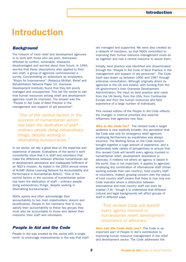# Introduction

### *Background*

The mission of most relief and development agencies is to work with those who are poor, distressed, affected by conflict, vulnerable, displaced, disadvantaged and worried about their future. In 1994, worried that these descriptions also applied to their own staff, a group of agencies commissioned a survey. Concentrating on aidworkers as employees, "Room for Improvement" (Rebecca McNair, Relief and Rehabilitation Network Paper 10, Overseas Development Institute) found that they felt poorly managed and unsupported. This led the sector to ask how human resources among relief and development agencies could be improved. The answer was the "People In Aid Code of Best Practice in the management and support of aid personnel".

*"One of the central factors in the success of humanitarian action has been the dedication of staff – ordinary people doing extraordinary things, despite working in disenabling bureaucracies."* 

In our sector, we rely a great deal on the expertise and experience of people. Evaluations of the sector's work consistently show that it is staff and volunteers that make the difference between effective humanitarian aid or development assistance and inadequate fulfilment of an NGO's mission. As stated in the 2003 annual review of ALNAP (Active Learning Network for Accountability and Performance in Humanitarian Action): "One of the central factors in the success of humanitarian action has been the dedication of staff – ordinary people doing extraordinary things, despite working in disenabling bureaucracies."

NGOs openly and often acknowledge their accountability to two main stakeholders: donors and beneficiaries. People In Aid maintains that to truly satisfy their accountability to these two groups they must also be accountable to those who deliver their missions: their staff and volunteers.

### *People In Aid and the Code*

People In Aid was created by the sector with a single remit: to encourage improvements in the way that staff are managed and supported. We were also created as a network of members, so that NGOs committed to improving their human resource management could do so together and had a central resource to assist them.

Initially, best practice was identified and disseminated through the "People In Aid Code of Best Practice in the management and support of aid personnel". The Code itself was drawn up between 1995 and 1997 through extensive consultation. Although originally driven by agencies in the UK and Ireland, with funding from the UK government's then Overseas Development Administration, the input on best practice also came from the UN family, from the USA, from Continental Europe and from the human resources and field experience of a large number of individuals.

This revised edition of the People In Aid Code reflects the changes in internal priorities and external influences that agencies now face.

**Who is the Code for?** The revised Code's target audience is now explicitly broader. Any perception that the Code was only for emergency relief agencies employing Northerners as expatriates was always incorrect. The Working Group on the Code revision brought together a huge amount of experience, and a deliberately wide variety of perspectives to ensure that this revised Code will benefit every agency involved in humanitarian relief, development assistance or advocacy. It matters not where an agency is based in the world. Size is not important. It applies to agencies employing any combination of international staff (those working outside their own country), host country staff or volunteers. Indeed, growing concern over the status of host country staff means that there is now only one Code indicator where a distinction between international and host country staff can even be implied (7.8) - though it is understood that different cultural and legal backgrounds will affect groups of staff in different ways.

*"This revised Code will benefit every agency involved in humanitarian relief, development assistance or advocacy."*

*How can the Code help you?* The Code is an important part of People In Aid's contribution to improving human resource management in the relief and development sector. The Code addresses the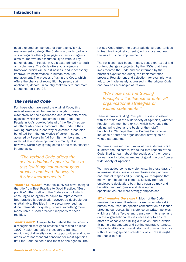people-related components of your agency's risk management strategy. The Code is a quality tool which sits alongside others (see page 27) as your agency aims to improve its accountability to various key stakeholders, in People In Aid's case primarily to staff and volunteers. The Code offers your agency a framework which will help it assess, and if necessary improve, its performance in human resource management. The process of using the Code, which offers the chance of recognition by peers, staff, applicants, donors, in-country stakeholders and more, is outlined on page 23.

### *The revised Code*

For those who have used the original Code, this revised version will be familiar enough. It draws extensively on the experiences and comments of the agencies which first implemented the Code (see People In Aid's booklet "Ahead of the Field") as well as others who have incorporated the Code in their working practices in one way or another. It has also benefited from the knowledge of current issues acquired by People In Aid from its members and the wider relief and development community. It is, however, worth highlighting some of the main changes in emphasis.

*"The revised Code offers the sector additional opportunities to test itself against current good practice and lead the way to further improvements."*

*"Best" to "Good"* Most obviously we have changed the title from Best Practice to Good Practice. "Best practice" fitted well with the Code as a tool which encouraged an agency to aspire to improvements. Best practice is perceived, however, as desirable but unattainable. Realities in the sector now, such as donor demands for quality, require something more measurable. "Good practice" responds to these realities.

**What's new?** A major factor behind the revisions is a recognition that good practice has moved on since 1997. Health and safety procedures, training, monitoring of diversity or equal opportunities and other areas were not standard concerns for most agencies until the Code helped place them on the agenda. The

revised Code offers the sector additional opportunities to test itself against current good practice and lead the way to further improvements.

The revisions have been, in part, based on textual and content changes suggested by the NGOs that have implemented the Code and are informed by their practical experiences during the implementation process. Recruitment and selection, for example, was felt to be inadequately addressed in the original Code and now has a principle of its own.

*"We hope that the Guiding Principle will influence or enter all organisational strategies or values statements."*

There is now a Guiding Principle. This is consistent with the vision of the wide variety of agencies, whether People In Aid members or not, which have used the original principles as the basis of their staff handbooks. We hope that the Guiding Principle will influence or enter all organisational strategies or values statements.

We have increased the number of case studies which illustrate the indicators. We found that readers of the Code liked to learn about the activities of their peers so we have included examples of good practice from a wide variety of agencies.

We have added some new elements. In these days of increasing litigiousness we emphasise duty of care, and mutual responsibility. Equally, we recognise that motivation should not come exclusively from an employee's dedication: both hard rewards (pay and benefits) and soft (leave and development opportunities) are more strongly emphasised.

*What remains the same?* Much of the Code remains the same. It retains its exclusive interest in human resources; its specific concentration on issues affecting our sector; its insistence on written policies which are fair, effective and transparent; its emphasis on the organisational efforts necessary to ensure staff are capable of fulfilling a mission; and it avoids fixing rigid parameters and setting quantative targets. The Code affirms an overall standard of Good Practice, without setting specific standards which NGOs might be unable to fulfil.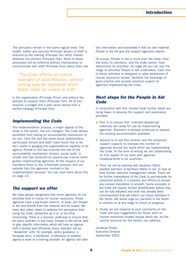The principles remain in the same logical order. The health, safety and security (Principle Seven) of staff is ensured by the training (Principle Six) which follows effective recruitment (Principle Five). None of these processes will be effective without mechanisms to communicate with staff (Principle Four) about their role

*"The Code affirms an overall standard of Good Practice, without setting specific standards which NGOs might be unable to fulfil."*

in the organisation (Principle Three) and without the policies to support them (Principle Two). All of this requires a budget and a plan which derive from a central strategy (Principle One).

### *Implementing the Code*

The implementation process, a major appeal of the Code to the sector, has not changed. The Code always benefited from having an accountability mechanism of its own. Over the last few years some stakeholders, particularly donors and staff, have found this to be very useful in gauging the organisational capacity of an agency. People In Aid has ensured the use of the accountability mechanism chosen, social audit, is simple and has produced an easy-to-use manual which guides implementing agencies. At the request of our members there is now a kitemark process, and our website lists the agencies involved in the implementation process. You can read more about this on page 23.

### *The support we offer*

We have always recognised that some agencies do not prioritise time or money for human resources. These agencies have a particular need to, at least, join People In Aid and benefit from the network and its output. We have also taken steps to address the perception that using the Code, productive as it is, is too timeconsuming. There is a process underway to ensure that, for every indicator in the Code, People In Aid will be able to give specific information which will help an agency fulfil it quickly and efficiently. Every indicator will be "deepened" with, for example, policy guidance, a template form, a handbook, a reference to another agency's work or a training provider. An agency can take

this information and assimilate it with its own material. People In Aid will give the support agencies require.

Of course, People In Aid is more than the Code. Over the years its members, and the wider sector, have determined its priorities. On page 26 you can see the range of activities People In Aid undertakes. Each one of these activities is designed to raise awareness of human resources issues, facilitate the exchange of good practice and provide practical support to agencies implementing the Code.

### *Next steps for the People In Aid Code*

In conjunction with this revised Code further steps are being taken to develop the support and assistance provided.

- First is to ensure that "indicator-deepening" materials are ready for use by implementing agencies. Research is already underway to expand the existing documentation available.
- Second is to use this revision and the enhanced support capacity to increase the number of agencies around the world which are implementing the Code. At the time of writing we are collaborating on this aspect of our work with agencies headquartered in six countries.
- Third, we will be working with Southern NGOs, whether partners of Northern NGOs or not, to look at their human resource management needs. There will be further translations of the Code (a pre-requisite for concerted activity in a country) and efforts to ensure any cultural translation is smooth. Some concepts in the Code will require further amplification before they can be fully adopted and work has already been commissioned that will inform our future activities in the South. We would urge our partners in the South to contact us at any stage to check on progress.
- Finally we will respond to your comments on the Code and your suggestions for future work on human resources related issues which we, as the central resource for the sector, can address.

Jonathan Potter Executive Director September 2003.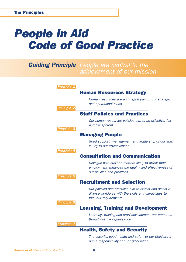# *People In Aid Code of Good Practice*

### *Guiding Principle People are central to the achievement of our mission*

| Principle 1 |                                                                                                                                             |
|-------------|---------------------------------------------------------------------------------------------------------------------------------------------|
|             | <b>Human Resources Strategy</b>                                                                                                             |
| Principle 2 | Human resources are an integral part of our strategic<br>and operational plans                                                              |
|             | <b>Staff Policies and Practices</b>                                                                                                         |
| Principle 3 | Our human resources policies aim to be effective, fair<br>and transparent                                                                   |
|             | <b>Managing People</b>                                                                                                                      |
|             | Good support, management and leadership of our staff<br>is key to our effectiveness                                                         |
| Principle 4 | <b>Consultation and Communication</b>                                                                                                       |
| Principle 5 | Dialogue with staff on matters likely to affect their<br>employment enhances the quality and effectiveness of<br>our policies and practices |
|             | <b>Recruitment and Selection</b>                                                                                                            |
|             | Our policies and practices aim to attract and select a<br>diverse workforce with the skills and capabilities to<br>fulfil our requirements  |
| Principle 6 | <b>Learning, Training and Development</b>                                                                                                   |
|             | Learning, training and staff development are promoted<br>throughout the organisation                                                        |
| Principle 7 |                                                                                                                                             |
|             | <b>Health, Safety and Security</b>                                                                                                          |
|             | The security, good health and safety of our staff are a                                                                                     |

*prime responsibility of our organisation*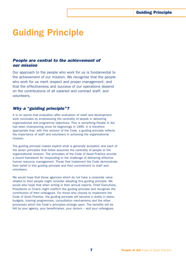# Guiding Principle

### *People are central to the achievement of our mission*

Our approach to the people who work for us is fundamental to the achievement of our mission. We recognise that the people who work for us merit respect and proper management, and that the effectiveness and success of our operations depend on the contributions of all salaried and contract staff, and volunteers.

### *Why a "guiding principle"?*

It is no secret that evaluation after evaluation of relief and development work concludes by emphasising the centrality of people in delivering organisational and programme objectives. This is something People In Aid has been championing since its beginnings in 1995. It is therefore appropriate that, with this revision of the Code, a guiding principle reflects the importance of staff and volunteers in achieving the organisational mission.

The guiding principle makes explicit what is generally accepted; and each of the seven principles that follow assumes the centrality of people to the organisational mission. The principles of the Code of Good Practice provide a sound framework for responding to the challenge of delivering effective human resource management. Those that implement the Code demonstrate their belief in this guiding principle and their commitment to staff and volunteers.

We would hope that those agencies which do not have a corporate value related to their people might consider adopting this guiding principle. We would also hope that when writing in their annual reports, Chief Executives, Presidents or Chairs might reaffirm the guiding principle and recognise the contribution of their colleagues. For those who choose to implement the Code of Good Practice, the guiding principle will become a reality in plans, budgets, training programmes, consultation mechanisms and the other processes which the Code's principles enlarge upon. The benefits will be felt by your agency, your beneficiaries, your donors – and your colleagues.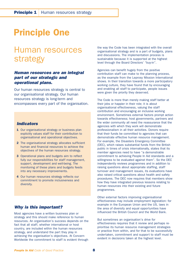# Principle One

### Human resources strategy

### *Human resources are an integral part of our strategic and operational plans.*

Our human resources strategy is central to our organisational strategy. Our human resources strategy is long-term and encompasses every part of the organisation.

### *Indicators*

- 1 Our organisational strategy or business plan explicitly values staff for their contribution to organisational and operational objectives.
- 2 The organisational strategy allocates sufficient human and financial resources to achieve the objectives of the human resources strategy.
- 3 Operational plans and budgets aim to reflect fully our responsibilities for staff management, support, development and well-being. The monitoring of these plans and budgets feeds into any necessary improvements.
- 4 Our human resources strategy reflects our commitment to promote inclusiveness and diversity.

### *Why is this important?*

Most agencies have a written business plan or strategy and this should make reference to human resources. An organisation's success depends on the fact that all staff, whether international or host country, are included within the human resources strategy, and understand the part they play in achieving the organisation's objectives. At Concern Worldwide the commitment to staff is evident through the way the Code has been integrated with the overall organisational strategy and is a part of budgets, plans and discussions. The implementation process is sustainable because it is supported at the highest level through the Board Directors' "buy-in".

Agencies can benefit hugely from the positive contribution staff can make to the planning process, as the example from the Leprosy Mission International shows. In their transition towards a more participatory working culture, they have found that by encouraging and enabling all staff to participate, people issues were given the priority they deserved.

The Code is more than merely making staff better at their jobs or happier in their role; it is about organisational effectiveness, valuing the staff contribution and encouraging an inclusive working environment. Sometimes external factors prompt action towards effectiveness; host governments, partners and the wider community all need the reassurance that the agencies with which they work will demonstrate professionalism in all their activities. Donors require that their funds be committed to agencies that can demonstrate effective human resource management. For example, the Disasters Emergency Committee (DEC), which raises substantial funds from the British public in times of crisis internationally, states that its member agencies need to have "a demonstrable commitment to achieving People In Aid standards and a willingness to be evaluated against them". So the DEC independently reviews programmes and in addition to raising questions about appropriate staffing, staff turnover and management issues, its evaluations have also raised critical questions about health and safety procedures. The DEC now requires that members show how they have integrated previous lessons relating to human resources into their existing and future programmes.

Other external factors improving organisational effectiveness may include employment legislation: for example in the European Union and the US, laws in the area of diversity and equal opportunities have influenced the British Council and the World Bank.

But sometimes an organisation's drive for effectiveness requires that it review and perhaps reprioritise its human resource management strategies or practice from within, and for that to be successfully undertaken, commitment and support to staff must be evident in decisions taken at the highest level.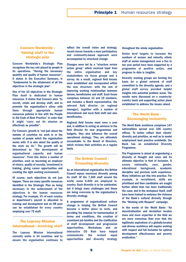### Concern Worldwide - Valuing staff in the strategic plan

Concern Worldwide's Strategic Plan recognises the key role played by people in its operations. "Having the necessary quantity and quality of human resources", it states in the Executive Summary, is "fundamental to the attainment of all the objectives in the strategic plan".

One of the 10 objectives in the Strategic Plan itself is dedicated to human resources. It states that Concern aims "to recruit, retain and develop staff, and to promote the organisation's ethos with them through appropriate human resources policies in line with the People In Aid Code of Best Practice" in order that it might "carry out its mission as effectively as possible".

For Concern, growth is "not just about the number of countries we work in or the number of people which the organisation works with. It is also about the quality of the work we do." The growth will be determined by "the development of organisational capacity and human resources". From this derive a number of priorities, such as becoming an employer of choice, quality of recruits, investment in training, giving career opportunities and creating the right working environment.

Of course, such objectives do not just happen. There are many specific resources identified in the Strategic Plan as being necessary to the achievement of the objectives in the human resources strategy. For example, 4% of each country or department's payroll is allocated to training and development and an HR post can be established for every country employing over 75 staff.

#### The Leprosy Mission International - Involving staff

The Leprosy Mission International currently works in 24 countries, and to ensure the organisation continues to reflect the overall vision and strategy, recent moves towards a more participatory and community-based approach were accompanied by structural change.

Changes were led by a "structure review action group" which received input from the entire organisation and key stakeholders via focus groups and a survey. As a result, regional field forums were established and incorporated within the new structure, with the aim of improving working relationships between donors, beneficiaries and staff. Each forum comprises between 12 and 15 members, and includes a Board representative, the relevant field director (or regional manager), together with a number of international and local field staff and also beneficiaries.

Regional field forums meet once a year and, in addition to acting as advisors to the field director for new programmes and budgets, they also influence the overall operational strategy. They are ultimately accountable to the Board of Directors, which reviews their activities on a regular basis.

### The British Council - Promoting diversity

As an international organisation the British Council enjoys enormous diversity among its staff. Of the 7,300 staff around the world, some 6,000 are employed incountry. Such diversity is to be celebrated, but it brings many challenges and these are being overcome by the organisation's diversity strategy.

A programme of organisational culture change is helping the British Council become a better place to work, and providing the impetus for harmonisation of terms and conditions, the creation of consistent job families and the clarification of staff development and progression opportunities. Workshops and an interactive CD Rom have helped communicate the revised equal opportunities and diversity strategy

throughout the whole organisation.

Senior level targets to increase the numbers of women and minority ethnic staff at senior management over a five to ten year period have been supported by a programme of positive action, and progress to date is tangible.

Diversity working groups are forming the basis for a global network of staff committed to the diversity agenda, and a global staff survey provided helpful insights into potential problem areas. The results were discussed on a country-bycountry basis and supporting action plans established to address the issues raised.

### The World Bank - Encouraging inclusivity

The World Bank workforce comprises 147 nationalities spread over 106 country offices. To better reflect their clients' diversity and priorities, as well as to model employment best practice worldwide, the Bank has an established Diversity Programme.

The Programme is aimed at engendering a diversity of thought and voice and its ultimate objective is that of inclusion. It covers nationality, race, gender, educational background, academic discipline and previous work experience. Many initiatives put this into practice. For example, in recruitment, skills are prioritised and then candidates are sought further afield than has been traditionally the case; and in the workplace itself, staff have been trained to embrace the richness of the Bank's cultural diversity through the "Working with Respect" campaign.

In the words of the World Bank: "As decentralisation and devolution locates more and more expertise in the field we are more conscious than ever that the legitimate aspirations of a globally-located and diverse workforce will require working with respect and full inclusion for optimal development effectiveness and poverty eradication."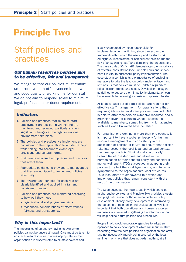# Principle Two

### Staff policies and practices

### *Our human resources policies aim to be effective, fair and transparent.*

We recognise that our policies must enable us to achieve both effectiveness in our work and good quality of working life for our staff. We do not aim to respond solely to minimum legal, professional or donor requirements.

### *Indicators*

- 1 Policies and practices that relate to staff employment are set out in writing and are monitored and reviewed, particularly when significant changes in the legal or working environment take place.
- 2 The policies and practices we implement are consistent in their application to all staff except while taking into account relevant legal provisions and cultural norms.
- 3 Staff are familiarised with policies and practices that affect them.
- 4 Appropriate guidance is provided to managers so that they are equipped to implement policies effectively.
- **5** The rewards and benefits for each role are clearly identified and applied in a fair and consistent manner.
- 6 Policies and practices are monitored according to how well they meet:
	- organisational and programme aims
	- reasonable considerations of effectiveness, fairness and transparency.

### *Why is this important?*

The importance of an agency having its own written policies cannot be underestimated. Care must be taken to ensure human resources policies appropriate for the organisation are disseminated to all stakeholders and

clearly understood by those responsible for implementation or monitoring, since they act as the framework within which the agency and its staff work. Ambiguous, inconsistent, or non-existent policies run the risk of antagonising staff and damaging the organisation. The case study of Oxfam GB demonstrates the importance of effective consultation (see Principle Four) and shows how it is vital to successful policy implementation. The case study also highlights the importance of equipping managers to take the lead on policy implementation and reminds us that policies must be updated regularly to reflect current trends and needs. Developing managers' guidelines to support them in policy implementation can be invaluable to delivering a consistent approach to staff.

At least a basic set of core policies are required for effective staff management. For organisations that require guidance in developing policies, People In Aid is able to offer members an extensive resource, and a growing network of contacts whose expertise is available to members, something from which agencies such as Health Unlimited have benefited.

For organisations working in more than one country, it is important to have a global philosophy for human resource management and consistency in the application of policies. It is vital to ensure that policies take into account the local legal and cultural context; the ideal approach is "think globally, act locally". Islamic Relief invested time and effort in the harmonisation of their benefits policy and consider it money well spent. ITDG succeeded in adapting their policies to reflect the local legal norms, and to remain sympathetic to the organisation's local structures. Thus local staff are empowered to develop and implement policies that remain consistent with the rest of the organisation.

The Code suggests the main areas in which agencies might require policies, and Principle Two provides a useful and pragmatic guide for those responsible for policy development. Clearly policy development is informed by the outcome of monitoring and evaluation activity. It is important that both operational and human resources managers are involved in gathering the information that will help define future policies and procedures.

People In Aid would encourage agencies to adopt an approach to policy development which will result in staff benefiting from the best policies an organisation can offer, and not necessarily merely being covered by the legal minimum, or where that does not exist, nothing at all.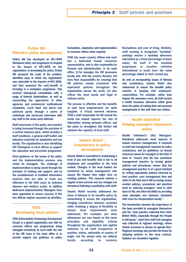### Oxfam GB - Effective policy development

Oxfam GB has developed an HIV/AIDS Workplace policy and programme to respond to the impact of HIV/AIDS on the organisation. In developing the policy, Oxfam GB assessed the scale of the problem, identified ways in which the organisation was vulnerable to the impacts of HIV/AIDS, and then assessed the cost/benefit of investing in a workplace programme. This involved widespread consultation with a range of internal stakeholders, as well as researching the approaches of other agencies and commercial multinational companies. Local input and buy-in was achieved partly through a series of workshops and one-to-one interviews with key staff in the areas most affected.

Staff awareness of the policy and practice is being increased through the provision of a central resource pack, which includes a staff handbook, a general staff leaflet and induction materials for adaptation and use locally. The organisation is also identifying HIV Champions in local offices to support the education and prevention programme.

Clear guidance on the scope of the policy and the implementation process now exists for managers. The challenge of implementation is being eased through the provision of training and support, and by the establishment of modified information systems that are able to track key indicators in the field (such as sickness absence and medical costs). In addition dedicated Implementation Managers have been appointed to ensure success in the two African regions assessed as priorities.

### ITDG - Developing local policies

ITDG (Intermediate Technology Development Group) is a global organisation and with its overseas offices and programmes being managed exclusively by local staff, the role of the HR team in the head office is to provide support and guidance on policy

formulation, adaptation and implementation to overseas offices when required.

ITDG has seven country offices and each has a dedicated human resources representative, who is also responsible for Finance and Administration, in its main office. S/he manages the HR processes locally and, with the country director, will have final responsibility for ensuring that HR policies remain consistent with equivalent policies throughout the organisation across the world, yet also reflect the local needs and legal or cultural norms.

The process is effective and the benefits of such local empowerment are quite tangible. A virtual network between ITDG's staff responsible for HR around the world has helped improve the rate of information sharing between offices, and the plans to strengthen this further will enhance the capacity of local staff.

### Islamic Relief - Consistency in policy development

Islamic Relief is committed to maintaining a level of pay and benefits that is fair to all employees and competitive in the local market. Changes in the local market are monitored by senior management who assess the impact they might have on existing policies. This research informs a regular review process and any changes are introduced following consultation with staff.

Islamic Relief recently addressed the issue of fairness in its benefits policy by harmonising it across the organisation, bringing consistency between countries while retaining a degree of flexibility to ensure local requirements were addressed. For example, per diem allowances are now based on the same principles and eligibility criteria throughout the organisation and applied uniformly to all staff irrespective of position, status, nationality or country of origin, but the actual rates are defined locally according to currency

fluctuations and cost of living. Similarly, staff working in recognised "hardship" postings receive a hardship allowance calculated as a fixed percentage of basic salary. All staff in the hardship programme or location (whether international or local) have the same percentage added to their normal pay.

As well as incorporating issues of fairness and consistency, Islamic Relief also endeavours to ensure the benefits policy remains in keeping with employees' expectations. For example, rather than impose life assurance cover, all staff receive a health insurance allowance which gives them the option of making their own personal arrangements in line with their own wishes.

### Health Unlimited - Helping managers implement policy

Health Unlimited's (HU) Managers' Handbook addresses most aspects of human resource management. It responds to staff and management requests for policy consistency, and for guidelines on human resources issues for managers in the field. It aims to "ensure that HU has consistent management practice by having global policies and procedures; ensure that the management practice is of a good standard by writing appropriate policies informed by best practice; save management time and effort in the field and in HQ by having clearly worded policies, procedures and practical tools by reducing managers' need to refer back to HQ; and allow flexibility by providing clear principles and minimum standards with room for interpretation locally".

The introduction stresses the importance of the input provided by managers themselves and the "best practice collected from other British NGOs, especially through the People In Aid group". Input from staff and managers was collected at regional meetings, where human resources is always an agenda item. Regional meetings also provide the forum for adapting policies to the local context. Updates are circulated regularly.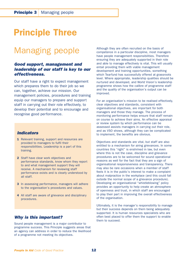# Principle Three

## Managing people

### *Good support, management and leadership of our staff is key to our effectiveness.*

Our staff have a right to expect management which prepares them to do their job so we can, together, achieve our mission. Our management policies, procedures and training equip our managers to prepare and support staff in carrying out their role effectively, to develop their potential and to encourage and recognise good performance.

### *Indicators*

- 1 Relevant training, support and resources are provided to managers to fulfil their responsibilities. Leadership is a part of this training.
- 2 Staff have clear work objectives and performance standards, know whom they report to and what management support they will receive. A mechanism for reviewing staff performance exists and is clearly understood by all staff.
- 3 In assessing performance, managers will adhere to the organisation's procedures and values.
- 4 All staff are aware of grievance and disciplinary procedures.

### *Why is this important?*

Sound people management is a major contributor to programme success. This Principle suggests areas that an agency can address in order to reduce the likelihood of a programme not meeting its objectives.

Although they are often recruited on the basis of competence in a particular discipline, most managers have people management responsibilities. Therefore ensuring they are adequately supported in their role and able to manage effectively is vital. This will usually entail providing them with viable management development and training opportunities, something which Tearfund has successfully offered at grassroots level. Where appropriate, leadership qualities should be nurtured and developed, and World Vision's leadership programme shows how the calibre of programme staff and the quality of the organisation's output can be improved.

For an organisation's mission to be realised effectively, clear objectives and standards, consistent with organisational objectives, are important for both managers and those they manage. The process of monitoring performance helps ensure that staff remain on course to achieve their aims. An effective appraisal or review system by which performance can be assessed assists managers in carrying out their role, and as VSO shows, although they can be complicated to implement, the benefits are obvious.

Objectives and standards are vital, but staff are also entitled to a mechanism for airing grievances. In some countries this "right" is enshrined in law, but even where this is not the case, discipline and grievance procedures are to be welcomed for sound operational reasons as well for the fact that they are a sign of organisational responsiveness and transparency. There may also be rare occasions when a member of staff feels it is in the public's interest to make a complaint about malpractice in the workplace (and this could fall outside the normal scope of a grievance procedure). Developing an organisational "whistleblowing" policy provides an opportunity to help create an atmosphere of openness and trust, in which staff are encouraged to play their part in improving the overall effectiveness of the organisation.

Ultimately, it is the manager's responsibility to manage but their success depends on them being adequately supported. It is human resources specialists who are often best placed to offer them the support to enable them to succeed.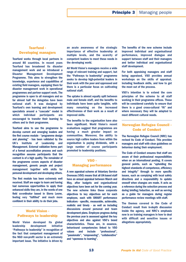### Tearfund - Developing managers

Tearfund works through local partners in around 80 countries. In recent years Tearfund has broadened its disaster management work and so introduced a Disaster Management Development Programme. This aims to strengthen the knowledge, experience and capabilities of existing field managers, equipping them for disaster management work in operational programmes and partner support work. The programme is open to all managers and so far almost half the delegates have been national staff. It was designed by Tearfund's own learning and development specialists around a "cascade" model in which individual participants are encouraged to transfer their learning to others and to their programme.

Tearfund aims to use the programme to develop current and emerging leaders and the first course module - "programme design and planning" - has been validated by the UK's Institute of Leadership and Management. External validation forms part of a formal accreditation process and such recognition assures participants that the content is of a high quality. The remainder of the programme covers aspects of disaster management, generic people and project management together with skills for personal development and developing others.

The first module has been extremely well received. Staff are eager to learn and having had numerous opportunities to apply their enhanced skills they are, in the words of one field co-ordinator based in Sierra Leone, feeling very "fulfilled" and much more confident in their ability to do their jobs.

### World Vision - Pathways to leadership

World Vision developed its global leadership development initiative "Pathways to leadership" in recognition of the fact that competent management of the NGO non-profit sector is an extremely important issue. The initiative is driven by

an acute awareness of the strategic importance of effective leadership at multiple levels, and the scarcity of competent leaders to meet these needs in the developing world.

All World Vision's managers receive a wide range of relevant training and support, but the "Pathways to leadership" programme seeks to develop high-potential leaders in their work with the poor and oppressed and there is a particular focus on cultivating national staff.

The uptake is almost equally split between male and female staff, and the benefits to individuals have been quite tangible, with many remarking on the increased effectiveness of their work as a result of improved skills.

The benefits to the organisation have also been significant. World Vision's recent evaluations suggest that programmes are having a much greater impact on communities. Moreover, the ability to source high calibre leaders from within the organisation is paying dividends, with a large number of course participants promoted to leadership positions.

### VSO - Managing performance

A new appraisal scheme at Voluntary Service Overseas (VSO) means that all UK-based staff have an annual appraisal between March and May, after budgets and organisational objectives have been set for the coming year. The new scheme links these corporate objectives to key objectives set for each employee, each with SMART performance indicators - specific, measurable, achievable, realistic and timely - as well as including discussions around personal and team development plans. Employee progress during the previous year is assessed against the key objectives and also against VSO's brand characteristics. These are, in essence, behavioural competencies linked to VSO values and include "professional", "passionate", "empowering", "collaborative" and "openness to learning".

The benefits of the new scheme include improved individual and organisational performance, improved dialogue and support between staff and their managers and better individual and organisational staff development.

For both appraising managers and staff being appraised, VSO provides annual workshops on the skills of appraisal, including feedback skills, and how to get the most out of the process.

VSO's intention is to extend the core principles of the scheme to all staff working in their programme offices. These will be considered carefully to ensure that there is a good cross-cultural "fit" and where necessary they will be adapted to meet different cultural needs.

#### Norwegian Refugee Council - Code of Conduct

The Norwegian Refugee Council (NRC) has revised its Code of Conduct. This provides managers and staff with clear guidelines on behaviour during their employment.

The Code of Conduct ensures that staff are aware of their professional responsibilities when on an international posting. It covers general points, such as "upholding the highest standards of competence, efficiency and integrity" through to more specific issues, such as complying with local safety directions and a responsibility to update oneself when changes are made. It acts as a reference during the selection process and during briefing/induction, as well as serving as a guide for managers during regular performance review meetings with staff.

The themes covered in the Code of Conduct result from in-depth discussion inside the agency, and NRC's emphasis now is on training managers in how to deal with difficult and sensitive issues or allegations appropriately.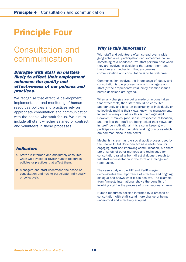# Principle Four

### Consultation and communication

### *Dialogue with staff on matters likely to affect their employment enhances the quality and effectiveness of our policies and practices.*

We recognise that effective development, implementation and monitoring of human resources policies and practices rely on appropriate consultation and communication with the people who work for us. We aim to include all staff, whether salaried or contract, and volunteers in these processes.

### *Indicators*

- 1 Staff are informed and adequately consulted when we develop or review human resources policies or practices that affect them.
- 2 Managers and staff understand the scope of consultation and how to participate, individually or collectively.

### *Why is this important?*

With staff and volunteers often spread over a wide geographic area, participation can sometimes cause something of a headache. Yet staff perform best when they are involved in decisions that affect them, and therefore any mechanism that encourages communication and consultation is to be welcomed.

Communication involves the interchange of ideas, and consultation is the process by which managers and staff (or their representatives) jointly examine issues before decisions are agreed.

When any changes are being made or actions taken that affect staff, then staff should be consulted appropriately and have an opportunity of individually or collectively making their views known to management. Indeed, in many countries this is their legal right. However, it makes good sense irrespective of location, and the fact that staff are being asked their views can, in itself, be motivational. It is also in keeping with participatory and accountable working practices which are common place in the sector.

Mechanisms such as the social audit process used by the People In Aid Code can act as a useful tool for engaging staff and improving communication, but there are a variety of other methods and techniques for consultation, ranging from direct dialogue through to full staff representation in the form of a recognised trade union.

The case study on the IHE and RedR merger demonstrates the importance of effective and ongoing dialogue and shows what it can achieve. The example from Amnesty International shows the benefits of involving staff in the process of organisational change.

Human resources policies informed by a process of consultation with staff stand more chance of being understood and effectively adopted.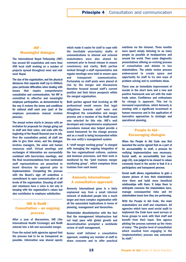### INF - Meaningful dialogue

The International Nepal Fellowship (INF) has around 60 expatriates and more than 450 local staff working on a number of projects spread throughout west and midwest Nepal.

The size of the organisation, and the physical distances that separate staff (up to 600km) pose particular difficulties when dealing with issues that require comprehensive consultation and communication. Yet INF is committed to effective and meaningful employee participation, as demonstrated by the way it reviews the terms and conditions for national staff each year (part of the employee procedures manual revision process).

The annual review starts in January with an invitation for proposals for change going out to staff and their union, and ends with the beginning of the Nepali financial year in July. Over the consultation period, all staff are able to give their views, and the dialogue involves managers, the union and human resources staff. Virtual meetings and exchanges of information are successfully combined with face-to-face meetings, and the final recommendations from nominated staff representatives are presented to board directors for approval prior to implementation. Completing the process with the Board's sign off underlines a commitment to open communication at all levels of the organisation. Ensuring all staff and volunteers have a voice is not only in keeping with the organisation's values but also contributes to employee satisfaction.

### IHE & RedR - Consultation – an ongoing process

After a year of discussions, IHE (the International Health Exchange) and RedR entered into a full and successful merger.

From the outset both agencies agreed that the process had to be as transparent as possible. Information was shared openly

which made it easier for staff to cope with the inevitable uncertainty; drafts of communications to internal and external stakeholders were also shared for comment prior to formal release to ensure consistency and clarity. Both parties worked through a staff representative and regular meetings were held to ensure open and transparent communication. Fortunately no staff posts were placed at risk by the merger and discussions therefore focused around staff's current position and their future prospects within the merged organisation.

Both parties agreed that involving an HR professional would ensure that legal obligations towards staff were met throughout the consultation and merger process and a member of the RedR board was selected for this role. IHE's well developed and comprehensive employment procedures manual also helped provide a sound framework for the change process and as a result is being incorporated within the new entity's management system.

A "staff merger working group" is charged with managing the ongoing integration of the two organisational cultures, systems and business processes, and their work is monitored by the "joint trustees merger monitoring group", which comprises three trustees from each board.

#### Amnesty International - A consultative approach

Amnesty International grew in a fairly unplanned way from a small informal network of dedicated people into a much larger and more complex organisation with all the associated implications in terms of planning, management and hierarchies.

Stakeholder dissatisfaction with the fact that the management infrastructure had not kept pace with global growth and decentralisation prompted a worldwide review of staff management.

Senior staff initiated a consultative approach, enabling any member of staff to share concerns and to offer practical solutions via the intranet. Three months were spent simply listening to as many people as possible at headquarters and around the world. Then came diagnostic presentations offering an evolving process of consultation and debate to key stakeholders. The whole review process endeavoured to create space and opportunity for staff to try new ways of problem solving and to contribute ideas.

There was an immediate improvement of morale in the short term and a new and positive framework was set with the main trade union. Confidence and enthusiasm for change is apparent. This led to increased expectations, which Amnesty is meeting with a significant investment in human resources and in the application of innovative approaches to strategic and operational planning.

### People In Aid - Encouraging dialogue

When the People In Aid Code was first launched the sector agreed that as a part of its accountability to staff, a process for verifying implementation was necessary. Social audit, an accountability tool (see page 23), was judged to be closest to values commonly found in the sector in that it is a participatory and transparent process.

Social audit allows organisations to gain a clearer picture of how their stakeholders view them and build more beneficial relationships with them. It helps them to anticipate concerns the stakeholders have, manage consequential risks and let stakeholders know how they are performing.

With the People In Aid Code, the main stakeholders are staff and volunteers. All agencies which have used social audit to implement the Code have used surveys or focus groups to work with their staff and benefit from their input. One agency piloting the process summed up the views of many: "The greater level of consultation which resulted from engaging in the [implementation] process was welcomed by staff."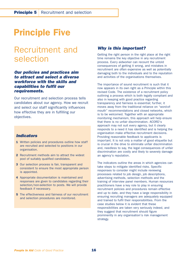# Principle Five

### Recruitment and selection

### *Our policies and practices aim to attract and select a diverse workforce with the skills and capabilities to fulfil our requirements.*

Our recruitment and selection process tells candidates about our agency. How we recruit and select our staff significantly influences how effective they are in fulfilling our objectives.

### *Indicators*

- 1 Written policies and procedures outline how staff are recruited and selected to positions in our organisation.
- 2 Recruitment methods aim to attract the widest pool of suitably qualified candidates.
- 3 Our selection process is fair, transparent and consistent to ensure the most appropriate person is appointed.
- 4 Appropriate documentation is maintained and responses are given to candidates regarding their selection/non-selection to posts. We will provide feedback if necessary.
- **5** The effectiveness and fairness of our recruitment and selection procedures are monitored.

### *Why is this important?*

Getting the right person in the right place at the right time remains the key objective in any recruitment process. Every aidworker can recount the untold consequences of getting it wrong, and mistakes in recruitment are often expensive as well as potentially damaging both to the individuals and to the reputation and activities of the organisations themselves.

The importance of sound recruitment is such that it now appears in its own right as a Principle within this revised Code. The existence of a recruitment policy outlining a process which is both legally compliant and also in keeping with good practice regarding transparency and fairness is essential; further, it moves away from the traditional reliance on "word-ofmouth" recommendations and closed networks, which is to be welcomed. Together with an appropriate monitoring mechanism, this approach will help ensure that there is no unfair discrimination. ACORD's approach may not suit every agency, but it clearly responds to a need it has identified and is helping the organisation make effective recruitment decisions. Providing reasonable feedback to applicants is important. It is not only a matter of good etiquette but is crucial in the drive to eliminate unfair discrimination and, needless to say, the legal consequences of unfair discrimination are costly and likely to severely damage an agency's reputation.

The indicators outline the areas in which agencies can take steps to mitigate identified risks. Specific responses to consider might include reviewing processes related to job design, job descriptions, advertising methods, selection methods and the training of interview panel members. Human resources practitioners have a key role to play in ensuring recruitment policies and procedures remain effective and up to date, and they have a large responsibility in ensuring recruiting managers are adequately equipped and trained to fulfil their responsibilities. From the case studies below it is evident that these responsibilities are taken very seriously indeed, and they suggest that recruitment should figure prominently in any organisation's risk management strategy.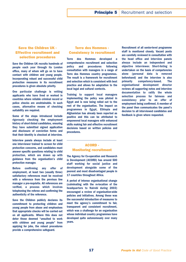### Save the Children UK - Effective recruitment and selection procedures

Save the Children UK recruits hundreds of people each year through its London office, many of whom will go on to have contact with children and young people. Incorporating robust and successful child protection measures in its recruitment procedures is given absolute priority.

One particular challenge is vetting applicants who have lived or worked in countries where reliable criminal record or police checks are unobtainable. In such cases, alternative means of checking suitability are required.

Some of the steps introduced include rigorously checking the employment history of short-listed candidates, ensuring they have submitted signed application and disclosure of conviction forms and that their identity is checked at interview.

Interview panels always include at least one interviewer trained to screen for child protection concerns, and candidates must answer specific questions relating to child protection, which are drawn up with guidance from the organisation's child protection manager.

Before confirming any offer of employment, at least two (usually three) satisfactory references must be received with a reference from the previous line manager a pre-requisite. All references are verified, a process which involves telephoning the referee and confirming the authenticity of the reference.

Save the Children publicly declares its commitment to protecting children and young people from abuse and emphasises that appropriate checks will be carried out on all applicants. Where this does not deter those deemed "unsuited to work with children and young people" from applying for jobs, the robust procedures provide a comprehensive safeguard.

### Terre des Hommes - Consistency in recruitment

Terre des Hommes developed a comprehensive recruitment and selection policy and procedures following consultation with managers in a range of Terre des Hommes country programmes. The result is a framework for recruitment and selection which is consistent with best practice and allows for adaptation to the local legal and cultural contexts.

Training to support local managers implementing the policy was piloted in Egypt and is now being rolled out to the rest of the organisation. The impact on programmes in Egypt, Ethiopia and Afghanistan has already been reported as positive and this can be attributed to empowered local managers with enhanced skills making fair and effective recruitment decisions based on written policies and procedures.

Recruitment of all senior-level programme staff is monitored closely. Vacant posts are carefully reviewed in consultation with the head office and interview panels always include an independent and objective interviewer. Short-listing is undertaken on the basis of competencies alone (personal data is removed beforehand) and the interview is also primarily competency-based. The organisational development director reviews all supporting notes and interview documentation to ratify the whole selection process for fairness and consistency prior to an offer of employment being confirmed. A member of the panel then communicates the panel's decision to all interviewed candidates and feedback is given where requested.

#### ACORD - Monitoring recruitment

The Agency for Co-operation and Research in Development (ACORD) has around 500 staff working for social justice and development alongside some of the poorest and most disadvantaged people in 17 countries throughout Africa.

A period of intense organisational change (culminating with the re-location of the headquarters to Nairobi during 2003) encouraged a review of organisation-wide policies and initiatives. Among these was the successful introduction of measures to meet the agency's commitment to fair, transparent and consistent recruitment, which was a challenge for an organisation whose individual country programmes have developed quite autonomously over many years.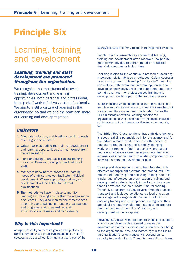# Principle Six

### Learning, training and development

### *Learning, training and staff development are promoted throughout the organisation.*

We recognise the importance of relevant training, development and learning opportunities, both personal and professional, to help staff work effectively and professionally. We aim to instil a culture of learning in the organisation so that we and the staff can share our learning and develop together.

### *Indicators*

- 1 Adequate induction, and briefing specific to each role, is given to all staff.
- 2 Written policies outline the training, development and learning opportunities staff can expect from the organisation.
- **3** Plans and budgets are explicit about training provision. Relevant training is provided to all staff.
- 4 Managers know how to assess the learning needs of staff so they can facilitate individual development. Where appropriate training and development will be linked to external qualifications.
- 5 The methods we have in place to monitor learning and training ensure that the organisation also learns. They also monitor the effectiveness of learning and training in meeting organisational and programme aims as well as staff expectations of fairness and transparency.

### *Why is this important?*

An agency's ability to meet its goals and objectives is significantly enhanced by an investment in learning. For success to be sustained, learning must be a part of the agency's culture and firmly rooted in management systems.

People In Aid's research has shown that learning, training and development often receive a low priority, most commonly due to either limited or restricted financial resources or lack of time.

Learning relates to the continuous process of acquiring knowledge, skills, abilities or attitudes. Oxfam Australia uses this approach to learning from its staff. Learning can include both formal and informal approaches to developing knowledge, skills and behaviours and it can be individual, team or project-based. Training and development are both part of the learning process.

In organisations where international staff have benefited from learning and training opportunities, the same has not always been the case for host country staff. Yet as the UNHCR example testifies, learning benefits the organisation as a whole and not only increases individual contributions but can have a positive impact on morale, too.

The British Red Cross confirms that staff development is about realising potential, both for the agency and for the individual concerned. It equips both parties to respond to the challenges of a rapidly changing working environment. And in a sector where career paths are not always clear, an appropriate link to an external qualification can form a vital component of an individual's personal development plan.

Training and development has to be integrated with effective management systems and procedures. The process of identifying and analysing training needs is crucial and influences an organisation's training and development strategy. Equally important is to ensure that all staff can and do allocate time for training. TransAid, an agency tackling poverty through practical transport and logistics solutions, realised this at an early stage in the organisation's life. In addition to ensuring training and development is integral to their appraisal system, they also took steps to incorporate the planning and scheduling of learning and development within workplans.

Providing individuals with appropriate training or support is wholly consistent with the need to make the maximum use of the expertise and resources they bring to the organisation. Now, and increasingly in the future, an organisation's effectiveness will depend on its capacity to develop its staff, and its own ability to learn.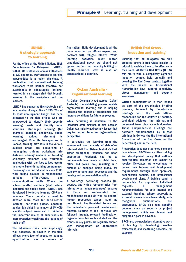### UNHCR - A strategic approach to learning

For the office of the United Nations High Commissioner for Refugees (UNHCR), with 6,000 staff based across 280 offices in 120 countries, staff access to learning opportunities is a major challenge. A realisation that conventional training workshops were neither effective nor sustainable in encouraging learning, resulted in a strategic shift that brought learning to the workplace and the learners.

UNHCR has supported this strategic shift in a number of ways. Since 1999, 20% of its staff development budget has been allocated to the field offices who are empowered to identify their specific learning needs and identify local solutions. On-the-job learning (for example, coaching, shadowing, action learning, guided missions) is encouraged. From its headquarters in Geneva, training providers in the various subject areas are converting or redesigning training workshops into distance learning modules or blending self-study elements and workplace application with the face-to-face events to create 9-month learning programmes. E-learning was introduced in early 2003 with on-line courses in management. personal effectiveness and communications skills. Where the subject matter warrants (staff safety, induction and supply chain), UNHCR has developed interactive learning CD-Roms in-house. There remains a need to develop more tools for self-directed learning (self-study guides, coaching guides, job aids) in a number of UNHCRspecific subject areas and to reinforce the important role of all supervisors to more proactively facilitate the learning of their staff.

The adjustment has been surprisingly well accepted, particularly in the field offices where lack of access to learning opportunities was a source of frustration. Skills development is all the more important as offices expand and contract with refugee influxes. While learning activities must match organisational needs we should not ignore the fact that capacity building of locally recruited staff is also an organisational obligation.

### Oxfam Australia - Organisational learning

At Oxfam Community Aid Abroad (Oxfam Australia) the debriefing process assists organisational learning and is helping increase the impact of programmes and improve conditions for future employees.

While debriefing is beneficial to the individual staff member, it also enables Oxfam Australia to address any issues that require action from an organisational perspective.

In particular, the learning from the assessment and analysis of debriefing returned staff from Oxfam Australia's East Timor emergency response has been substantial. Feedback has led to recommendations made at field, head office and policy level, resulting in a number of changes being made, for example in recruitment processes and the housing and accommodation policy.

A two-stage debriefing process (incountry, and with a representative from international human resources) ensures a focus on work-related and management issues as well as general human resources topics, such as recruitment, health-related issues and the individual's personal development. Matters relating to the individual are followed through, relevant feedback on organisational issues is collated and the trends or key points are regularly shared with management at appropriate intervals.

#### British Red Cross - Induction and training

Ensuring that all delegates are fully prepared before a Red Cross mission is critical to enabling them to be effective in their roles. At British Red Cross (BRCS) this starts with a compulsory eight-day induction course, held annually and covering the Red Cross context together with the basics of International Humanitarian Law, cultural sensitivity, stress management and security awareness.

Written documentation is then issued as part of the pre-mission briefing process, followed by face-to-face briefings with the desk officer responsible for the country of posting, technical advisors, the international personnel team plus a medical review. These comprehensive briefings are normally supplemented by further briefings in Geneva (by the International Committee of the Red Cross or the Federation) and in the field.

Preparation does not stop once someone is on mission. BRCS has a written training and development policy that outlines opportunities delegates can expect to receive. Delegates are encouraged to review their training and development requirements through their appraisal, post-mission debriefs, and professional development plans. A training panel is responsible for approving individual requests or management recommendations for both internal and external training. Where appropriate, external courses or academic study, with recognised qualifications, are encouraged. BRCS also runs specific courses, such as security or project management, which are planned and budgeted a year in advance.

BRCS also acknowledges alternative ways of learning by developing possible traineeships and mentoring schemes, for example.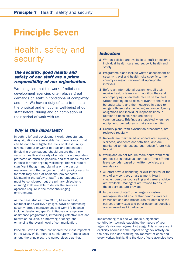# Principle Seven

### Health, safety and security

### *The security, good health and safety of our staff are a prime responsibility of our organisation.*

We recognise that the work of relief and development agencies often places great demands on staff in conditions of complexity and risk. We have a duty of care to ensure the physical and emotional well-being of our staff before, during and on completion of their period of work with us.

### *Why is this important?*

In both relief and development work, stressful and risky situations are inevitable. Yet there is much that can be done to mitigate the risks of illness, injury, stress, burnout or worse to staff and dependants. Employing organisations should ensure that the security, health and safety of all staff is appropriately protected as much as possible and that measures are in place for their ongoing well-being. This will require significant thought and planning on the part of managers, with the recognition that improving security for staff may come at additional project costs. Maintaining the safety of staff is paramount. Cost must be considered, but the primary objective is ensuring staff are able to deliver the services agencies require in the most challenging environments.

As the case studies from CARE, Mission East, Malteser and CARITAS highlight, ways of addressing security, stress management and work-life balance include developing specific initiatives or employee assistance programmes, introducing effective rest and relaxation policies, or improving briefings and enhancing the overall level of communication.

Principle Seven is often considered the most important in the Code. While there is no hierarchy of importance among the principles, it is nonetheless true that

### *Indicators*

- 1 Written policies are available to staff on security. individual health, care and support, health and safety.
- 2 Programme plans include written assessment of security, travel and health risks specific to the country or region, reviewed at appropriate intervals.
- 3 Before an international assignment all staff receive health clearance. In addition they and accompanying dependents receive verbal and written briefing on all risks relevant to the role to be undertaken, and the measures in place to mitigate those risks, including insurance. Agency obligations and individual responsibilities in relation to possible risks are clearly communicated. Briefings are updated when new equipment, procedures or risks are identified.
- 4 Security plans, with evacuation procedures, are reviewed regularly.
- **5** Records are maintained of work-related injuries, sickness, accidents and fatalities, and are monitored to help assess and reduce future risk to staff.
- 6 Workplans do not require more hours work than are set out in individual contracts. Time off and leave periods, based on written policies, are mandatory.
- **7** All staff have a debriefing or exit interview at the end of any contract or assignment. Health checks, personal counselling and careers advice are available. Managers are trained to ensure these services are provided.
- 8 In the case of staff on emergency rosters, managers should ensure that health clearance, immunisations and procedures for obtaining the correct prophylaxes and other essential supplies are arranged well in advance.

implementing this one will make a significant contribution towards satisfying the rigours of your agency's risk management strategy. This is because it explicitly addresses the impact of agency activity on the daily lives and working environment of each and every worker, highlighting the duty of care agencies have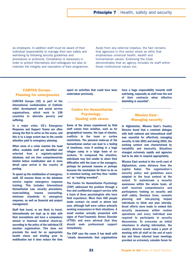as employers. In addition staff must be aware of their individual responsibility to manage their own safety and well-being by following security guidelines and procedures or protocols. Compliance is necessary in order to protect themselves and colleagues but also to maintain the integrity and reputation of their programme. Aside from any external impetus, the fact remains that agencies in this sector share an ethic that emphasises universal health, wealth and humanitarian values. Endorsing the Code demonstrates that an agency includes its staff within those institutional values too.

### CARITAS Europa - Planning for emergencies

CARITAS Europa (CE) is part of the international confederation of Catholic relief, development and social service organisations, which work in 198 countries to alleviate poverty and suffering.

In a major crisis, CE's Emergency Response and Support Teams are often among the first to arrive on the scene, and this is to a large extent due to the careful attention paid to emergency planning.

When news of a crisis reaches the head office, available staff are identified and selected from a regularly-updated database, and are then comprehensively briefed before mobilisation and in more detail upon arrival in the country of posting.

To speed up the mobilisation of emergency staff, CE ensures those on the database receive regular emergency response training. This includes International Humanitarian Law, security procedures, team-building, trauma counselling, minimum standards in emergency response, as well as financial and project management.

Staff that travel, or are likely to travel, internationally are kept up to date with their inoculations and have a compulsory annual or biannual medical check-up, according to the policy of the individual CE member organisation. This does not preclude the need for an appropriate health check and briefing prior to mobilisation but it does reduce the time

spent on activities that could have been undertaken previously.

### Centre for Humanitarian Psychology - Dealing with stress

Some of the stress experienced by field staff comes from isolation, such as for geographical reasons, the type of mission, conflicts in the team or curfew restrictions. The personal make-up of the humanitarian worker can lead to a feeling of loneliness, even if working in a huge refugee camp in a large team of coworkers. To compound the situation, individuals may feel unable to share their difficulties with the team or the managers, perhaps for personal reasons or perhaps because the mechanism for them to do so is somehow lacking, and they thus "soldier on" as "walking wounded".

The Center for Humanitarian Psychology (CHP) addressed the problem through a free and confidential support service with a team of three psychologists who have field experience. More than 400 people made contact via email or phone last year, although half were callers primarily seeking reassurance in their situations. A small number actually presented with signs of Post-Traumatic Stress Disorder (PTSD) and were advised that they should seek professional support immediately.

The CHP says the cases it has dealt with "clearly demonstrate that organisations have a huge responsibility towards staff well-being, especially as staff near the end of their contracts when effective debriefing is essential".

### Mission East - Managing security

In Afghanistan, Mission East's Country Director found that a constant dialogue with both national and international staff was essential for effectively managing security. In late 2001 and during 2002, the working context was characterised by instability and insecurity. Situations changed extremely rapidly and agencies had to be able to respond appropriately.

Mission East worked in the north east of Afghanistan, some distance from the capital Kabul. The organisation's security policy and guidelines were adapted to the local context at the outset. To mainstream a security awareness within the whole team, all staff received comprehensive and participatory training on security and staff safety. Decision trees, scenario planning and role-playing helped individuals to think and plan laterally. Great efforts were made to embed this security awareness within routine operations and every individual was required to participate in security discussions. To overcome an initial reluctance in sharing information, the country director would make a point of meeting with all staff at the end of each day and these informal team meetings provided an extremely valuable forum for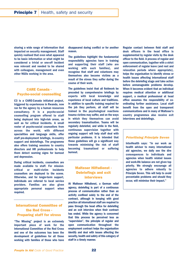sharing a wide range of information that impacted on security management. Staff quickly realised that even what appeared to be basic information or what might be considered a trivial or one-off incident was relevant and needed to be shared with colleagues, management and even other NGOs working in the area.

### CARE Canada - Psycho-social counselling

C3 is a CARE-Canada initiated project, triggered by experiences in Rwanda, now run for the agency by a human resources consultancy. It is a psycho-social counselling program offered to staff being deployed into high-risk areas, as well as for critical incidents. A small roster of psycho-social counsellors from across the world, with different specialities and language skills, offer staff pre-deployment briefings, in-country support and debriefings. The programme also offers training sessions to country directors and HR professionals to help them detect warning signs for burnout and depression.

During critical incidents, counsellors are made available to staff. For missioncritical or multi-victim incidents counsellors are deployed to the scene. Otherwise, and for longer-term support, individuals are referred to local service providers. Families are also given appropriate personal support when required.

### International Committee of the Red Cross - Preparing staff for stress

"The Missing" project is an extremely important piece of work for the International Committee of the Red Cross and one of the outcomes has been the development of guidelines for all those working with families of those who have disappeared during conflict or for another reason.

The guidelines highlight the fundamental responsibility agencies have in training and supporting their staff (who are working with such families), and recognise that staff and volunteers may themselves also become victims as a result of the stress they suffer during the course of their work.

The guidelines insist that all fieldwork be preceded by comprehensive briefings by experts with local knowledge and experience of local culture and traditions. In addition to specific training required for the job they perform, all staff will be trained in the psychological reactions trauma victims may suffer, and on the ways in which they themselves can avoid secondary traumatisation. Teams will be regularly debriefed, and while in the field, continuous supervision together with ongoing support will help staff deal with particular problems. It is intended that these guidelines will go a significant way towards minimising the risk of staff becoming traumatised or suffering burnout.

### Malteser Hilfsdienst - Debriefings and exit interviews

At Malteser Hilfsdienst, a German relief agency, debriefing is part of a continuous process of communication rather than an activity confined solely to the end of the contract, although in keeping with good practice all international staff are required to pass through the head office for debriefing and an exit interview when their contract has ended. While the agency is concerned that this process be perceived less as "supervision", the principle of regular and open communication throughout the employment contract helps the organisation identify and deal with issues affecting the security, health and safety of this category of staff in a timely manner.

Regular contact between field staff and desk officers in the head office is supplemented by regular visits by the desk officer to the field. A process of regular and open communication, together with a strict enforcement of regular leave (and rest and relaxation periods where appropriate), helps the organisation to identify stress or health issues affecting international staff before the debriefing stage and take action before unmanageable problems develop. When it becomes evident that an individual requires medical attention or additional support, a medical professional at head office assumes the responsibility of coordinating further assistance. Local staff benefit from the open and transparent communications and in many of Malteser's country programmes also receive exit interviews and debriefings.

#### *Prioritising Principle Seven*

InterHealth says: "In our work as health advisor to many international aid agencies, we daily see the dire consequences to individuals and agencies when health related issues and work-life balance are not given top priority. We strongly encourage all agencies to adhere robustly to Principle Seven. This will help to avoid preventable problems and should they occur, will minimise their impact."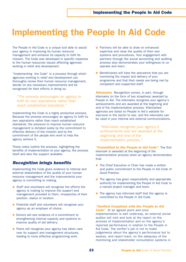# Implementing the People In Aid Code

The People In Aid Code is a unique tool able to assist your agency in improving its human resource management and enhance its capacity to fulfil its mission. The Code was developed in specific response to the human resources issues affecting agencies working in relief and development.

"Implementing the Code" is a process through which agencies working in relief and development can thoroughly review their human resource management, decide on any necessary improvements and be recognised for their efforts in doing so.

*"The process encourages an agency to fulfil its own aspirations rather than reach established standards."* 

Implementing the Code is a highly productive process. Because the process encourages an agency to fulfil its own aspirations rather than reach established standards, the pressure to improve human resource management is dictated solely by the commitment to effective delivery of the mission and by the commitment of the people who work to help the agency achieve it.

These notes outline the process, highlighting the benefits of implementation to your agency, the process itself and also the support available.

### *Recognition brings benefits*

Implementing the Code gives evidence to internal and external stakeholders of the quality of your human resource management and the improvements your agency is committing to making.

- Staff and volunteers will recognise the efforts the agency is making to improve the support and management provided to them, irrespective of their position, status or location.
- Potential staff and volunteers will recognise your agency as an employer of choice.
- Donors will see evidence of a commitment to strengthening internal capacity and systems to improve quality of aid delivery.
- Peers will recognise your agency has taken care over its support and management structures, leading to more effective programming work.
- Partners will be able to draw on enhanced expertise and raise the quality of their own systems and procedures. Your engagement with partners through the social accounting and auditing process also demonstrates your willingness to cooperate and learn.
- Beneficiaries will have the assurance that you are monitoring the impact and delivery of your programme and that their needs are being met by competent and supported staff.

*Kitemarks* Recognition comes, in part, through kitemarks (in the form of two straplines) awarded by People In Aid. The kitemarks recognise your agency's achievements and are awarded at the beginning and end of the implementation process. Kitemarked agencies are listed on People In Aid's website for everyone in the sector to see, and the kitemarks can be used in your internal and external communications.

*"Kitemarks recognise your agency's achievements and are awarded at the beginning and end of the implementation process."* 

*"Committed to the People In Aid Code"* The first kitemark is awarded at the beginning of the implementation process when an agency demonstrates that:

- The Chief Executive or Chair has made a written and public commitment to the People In Aid Code of Good Practice.
- The agency has given responsibility and appropriate authority for implementing the People In Aid Code to a named project manager and team.
- The agency has informed staff that the agency is committed to the People In Aid Code.

### *"Verified Compliant with the People In Aid*

*Code"* At an agreed point and once implementation is well underway, an external social auditor will visit and look at the report on the process of implementation and on the agency's reported performance in relation to the People in Aid Code. The verifier's job is not to make judgements about the agency's performance but to assess, and report back, on the adequacy of the monitoring and stakeholder consultation systems in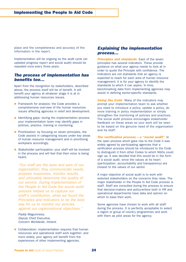place and the completeness and accuracy of the information in the report.

Implementation will be ongoing so the audit cycle (an updated progress report and social audit) should be repeated once every three years.

### *The process of implementation has benefits too…*

Apart from the recognition by stakeholders, described above, the process itself will be of benefit. It will benefit your agency at whatever stage it is at in addressing human resources issues.

- Framework for analysis: the Code provides a comprehensive overview of the human resources issues affecting agencies in relief and development.
- Identifying gaps: during the implementation process your implementation team may identify gaps in policies, practice, training or monitoring.
- Prioritisation: by focusing on seven principles, the Code assists in categorising issues under key areas of human resource management and in prioritising workplans accordingly.
- Stakeholder participation: your staff will be involved in the process and will feel that their voice is being heard.

*"Our staff are the eyes and ears of our organisation; they communicate needs, propose responses, monitor results and ultimately determine the quality of our service. During implementation of the People In Aid Code the social audit process helped us to capture our staff's contribution, while we found the Principles and Indicators to be the best way for us to monitor our policies against our organisational objectives."* 

*Paddy Maguinness, Deputy Chief Executive, Concern Worldwide, Ireland.*

● Collaboration: implementation requires that human resources and operational staff work together; and more widely, your agency will benefit from the experiences of other implementing agencies.

### *Explaining the implementation process…*

**Principles and standards** Each of the seven principles has several indicators. These provide guidance on what your agency needs to look at in order to quote the Principle with confidence. The Indicators are not standards that an agency is expected to reach for each area of human resource management; it is for your agency to identify the standards to which it can aspire. In time, benchmarking data from implementing agencies may assist in defining sector-specific standards.

**Using the Code** Many of the indicators may prompt your implementation team to ask whether you need to introduce a policy, update a policy, do more training in policy implementation or simply strengthen the monitoring of policies and practices. The social audit process encourages stakeholder feedback on these areas so your work will be seen to be based on the genuine need of the organisation and its staff.

*The verification process – a "social audit"* In the open process which gave rise to the Code it was widely agreed by participating agencies that a verification process should be introduced to the Code to distinguish it from other Codes to which NGOs could sign up. It was decided that this would be in the form of a social audit, since the values at its heart (participation, accountability and transparency) are closest to the values of our sector.

A major objective of social audit is to work with selected stakeholders on the concerns they raise. The major stakeholder in the People In Aid Code process is staff. Staff are consulted during the process to ensure that decision-makers and policy-writers both in HR and operational departments have data and opinion on which to base their work.

Some agencies have chosen to work with all staff during the process. It is perfectly acceptable to select a region or group of country programmes and work with them as pilot areas for the agency.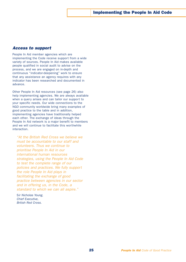### *Access to support*

People In Aid member agencies which are implementing the Code receive support from a wide variety of sources. People In Aid makes available people qualified in social audit to advise on the process, and we are engaged on in-depth and continuous "indicator-deepening" work to ensure that any assistance an agency requires with any indicator has been researched and documented in advance.

Other People In Aid resources (see page 26) also help implementing agencies. We are always available when a query arises and can tailor our support to your specific needs. Our wide connections to the NGO community worldwide bring many examples of good practice to the table and in addition, implementing agencies have traditionally helped each other. The exchange of ideas through the People In Aid network is a major benefit to members and we will continue to facilitate this worthwhile interaction.

*"At the British Red Cross we believe we must be accountable to our staff and volunteers. Thus we continue to prioritise People In Aid in our international human resources strategies, using the People In Aid Code to test the complete range of our policies and practices. We fully support the role People In Aid plays in facilitating the exchange of good practice between agencies in our sector and in offering us, in the Code, a standard to which we can all aspire."*

S*ir Nicholas Young, Chief Executive, British Red Cross.*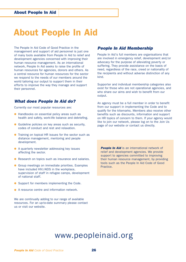# About People In Aid

The People In Aid Code of Good Practice in the management and support of aid personnel is just one of many tools available from People In Aid to relief and development agencies concerned with improving their human resource management. As an international network, People In Aid seeks to raise the profile of human resources for agencies, donors and others. As a central resource for human resources for the sector we respond to the needs of our members around the world tailoring our output to support them in their efforts to improve the way they manage and support their personnel.

### *What does People In Aid do?*

Currently our most popular resources are:

- Handbooks on essential policy areas such as health and safety, work-life balance and debriefing.
- Guideline policies on key areas such as security, codes of conduct and rest and relaxation.
- Training on topical HR issues for the sector such as distance management, mentoring and people development.
- A quarterly newsletter addressing key issues affecting the sector.
- Research on topics such as insurance and salaries.
- Group meetings on immediate priorities. Examples have included HIV/AIDS in the workplace, supervision of staff in refugee camps, development of national staff.
- Support for members implementing the Code.
- A resource centre and information network.

We are continually adding to our range of available resources. For an up-to-date summary please contact us or visit our website.

### *People In Aid Membership*

People In Aid's full members are organisations that are involved in emergency relief, development and/or advocacy for the purpose of alleviating poverty or suffering. They provide assistance on the basis of need, regardless of the race, creed or nationality of the recipients and without adverse distinction of any kind.

Supporter and individual membership categories also exist for those who are not operational agencies, and who share our aims and wish to benefit from our output.

An agency must be a full member in order to benefit from our support in implementing the Code and to qualify for the kitemarks. Members also receive other benefits such as discounts, information and support on HR topics of concern to them. If your agency would like to join our network, please log on to the Join Us page of our website or contact us directly.

**People In Aid** is an international network of relief and development agencies. We provide support to agencies committed to improving their human resource management, by providing tools such as the People In Aid Code of Good Practice.

### www.peopleinaid.org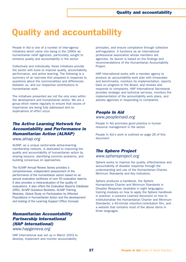# Quality and accountability

People In Aid is one of a number of inter-agency initiatives which came into being in the 1990s as humanitarian relief agencies, particularly, sought to enhance quality and accountability in the sector.

Collectively and individually, these initiatives provide the sector with tools to improve quality, accountability, performance, and active learning. The following is a summary of an overview first prepared in response to questions about the commonalities and differences between us, and our respective contributions to humanitarian work.

The initiatives presented are not the only ones within the development and humanitarian sector. We are a group which meets regularly to ensure that issues of importance are being fully addressed and no duplications of effort occur.

### *The Active Learning Network for Accountability and Performance in Humanitarian Action (ALNAP)*

*www.alnap.org*

ALNAP, as a unique sector-wide active-learning membership network, is dedicated to improving the quality and accountability of humanitarian action by sharing lessons; identifying common problems; and building consensus on approaches.

The ALNAP Annual Review Series provides a comprehensive, independent assessment of the performance of the humanitarian sector based on an annual evaluation synthesis of over 50 evaluative reports. It also provides a meta-evaluation of the quality of evaluations. It also offers the Evaluative Reports Database (ERD), ALNAP Guidance Booklets, ALNAP Training Modules, Global Study on Participation by Affected Populations in Humanitarian Action and the development and testing of the Learning Support Office Concept.

### *Humanitarian Accountability Partnership International (HAP International)*

*www.hapgeneva.org*

HAP International was set up in March 2003 to develop, implement and monitor accountability

principles, and ensure compliance through collective self-regulation. It functions as an international professional association whose members are agencies. Its launch is based on the findings and recommendations of the Humanitarian Accountability Project.

HAP International works with a member agency to produce an accountability work plan with timescales and benchmarks, monitors its implementation, reports back on progress to the Board, and reviews and responds to complaints. HAP International Secretariat provides strategic and technical services, monitors the implementation of the accountability work plans, and assists agencies in responding to complaints.

### *People In Aid www.peopleinaid.org*

People In Aid promotes good practice in human resource management in the sector.

People In Aid's work is outlined on page 26 of this document

### *The Sphere Project*

*www.sphereproject.org*

Sphere works to improve the quality, effectiveness and accountability of disaster response through the understanding and use of the Humanitarian Charter, Minimum Standards and Key Indicators.

Sphere produces a handbook, the Sphere Humanitarian Charter and Minimum Standards in Disaster Response (available in eight languages); training modules on how to apply the Sphere handbook in practice; a Lessons Learned document on how to institutionalise the Humanitarian Charter and Minimum Standards; a 45-minute induction/orientation film, and a website that contains most of the above items in three languages.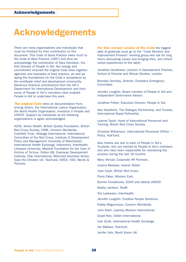# Acknowledgements

There are many organisations and individuals that must be thanked for their contribution to this document. This Code of Good Practice owes much to the Code of Best Practice (1997) and thus we acknowledge the contribution of Sara Davidson, the first Director of People In Aid. Her energy and commitment ensured the original Code drew together agencies and examples of best practice, as well as laying the foundations for the Code's acceptance by the worldwide relief and development community. Generous financial contributions from the UK's Department for International Development and from some of People In Aid's members have enabled People In Aid to undertake this work.

**The original Code** drew on documentation from, among others, the International Labour Organisation, the World Health Organisation, Investors in People and UNICEF. Support by individuals at the following organisations is again acknowledged:

ACAS, Action Health, British Quality Foundation, British Red Cross Society, CARE, Concern Worldwide, Cranfield Trust, Helpage International, International Committee of the Red Cross, Institute of Development Policy and Management University of Manchester, International Health Exchange, Interaction, InterHealth, Liverpool University, Medical Foundation for the Care of Victims of Torture, Oxfam GB, Overseas Development Institute, Plan International, Returned Volunteer Action, Save the Children UK, Tearfund, VOICE, VSO, Words & Pictures.

*For this revised version of the Code the biggest* debt of gratitude must go to the "Code Revision and Improvement Process" working group who sat for long hours discussing issues and bringing their, and others' varied experiences to the table;

Jonathan Goodhand, Lecturer in Development Practice, School of Oriental and African Studies, London.

Brendan Gormley, Director, Disasters Emergency Committee.

Jennifer Loughlin, Board member of People In Aid and Independent Governance Advisor.

Jonathan Potter, Executive Director, People In Aid.

Alex Swarbrick, The Dialogue Partnership, and Trustee, International Nepal Fellowship.

Leanne Taylor, Head of International Personnel and Training, British Red Cross Society.

Christine Williamson, International Personnel Officer – Policy, Tearfund.

Also thanks are due to each of People In Aid's Trustees, who are elected by People In Aid's members and who have been responsible for overseeing the process during the last 18 months:

Mary Ahmad, Corporate HR Partners.

Usama Bastawy, Islamic Relief.

Joan Coyle, British Red Cross.

Floris Faber, Mission East.

Bonnie Fundafunda, ECHO and latterly UNICEF.

Bobby Lambert, RedR.

Ted Lankester, InterHealth.

Jennifer Loughlin, Creative People Solutions.

Paddy Maguinness, Concern Worldwide.

June Nash, Leprosy Mission International.

Gopal Rao, Oxfam International.

Ivan Scott, International Health Exchange.

Ian Wallace, Tearfund.

Jenifer York, World Vision UK.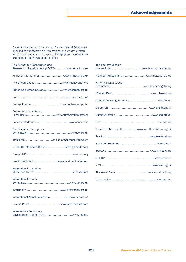### Acknowledgements

Case studies and other materials for the revised Code were supplied by the following organisations and we are grateful for the time and care they spent identifying and summarising examples of their own good practice:

| The Agency for Cooperation and<br>Research in Development (ACORD) www.acord.org.uk |
|------------------------------------------------------------------------------------|
| Amnesty Internationalwww.amnesty.org.uk                                            |
|                                                                                    |
| British Red Cross Societywww.redcross.org.uk                                       |
|                                                                                    |
|                                                                                    |
| Centre for Humanitarian                                                            |
|                                                                                    |
| The Disasters Emergency                                                            |
|                                                                                    |
| Global Development Groupwww.globaldev.org                                          |
|                                                                                    |
| Health Unlimited www.healthunlimited.org                                           |
| <b>International Committee</b>                                                     |
| <b>International Health</b>                                                        |
|                                                                                    |
| International Nepal Fellowship www.inf.org.np                                      |
|                                                                                    |
| Intermediate Technology                                                            |

| The Leprosy Mission                            |
|------------------------------------------------|
|                                                |
| <b>Minority Rights Group</b>                   |
|                                                |
|                                                |
|                                                |
|                                                |
|                                                |
| Save the Children UKwww.savethechildren.org.uk |
|                                                |
|                                                |
|                                                |
|                                                |
|                                                |
|                                                |
|                                                |